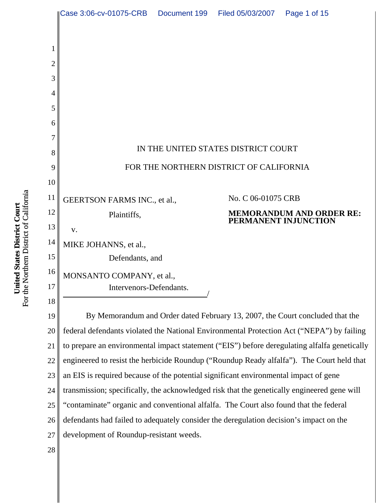

For the Northern District of California For the Northern District of California United States District Court **United States District Court**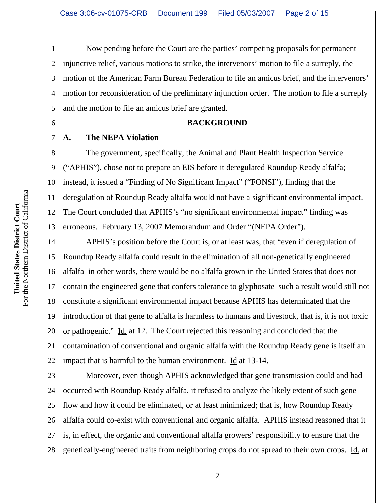1 2 3 4 5 Now pending before the Court are the parties' competing proposals for permanent injunctive relief, various motions to strike, the intervenors' motion to file a surreply, the motion of the American Farm Bureau Federation to file an amicus brief, and the intervenors' motion for reconsideration of the preliminary injunction order. The motion to file a surreply and the motion to file an amicus brief are granted.

#### **BACKGROUND**

**A. The NEPA Violation**

6

7

8 9 10 11 12 13 The government, specifically, the Animal and Plant Health Inspection Service ("APHIS"), chose not to prepare an EIS before it deregulated Roundup Ready alfalfa; instead, it issued a "Finding of No Significant Impact" ("FONSI"), finding that the deregulation of Roundup Ready alfalfa would not have a significant environmental impact. The Court concluded that APHIS's "no significant environmental impact" finding was erroneous. February 13, 2007 Memorandum and Order "(NEPA Order").

14 15 16 17 18 19 20 21 22 APHIS's position before the Court is, or at least was, that "even if deregulation of Roundup Ready alfalfa could result in the elimination of all non-genetically engineered alfalfa–in other words, there would be no alfalfa grown in the United States that does not contain the engineered gene that confers tolerance to glyphosate–such a result would still not constitute a significant environmental impact because APHIS has determinated that the introduction of that gene to alfalfa is harmless to humans and livestock, that is, it is not toxic or pathogenic." Id. at 12. The Court rejected this reasoning and concluded that the contamination of conventional and organic alfalfa with the Roundup Ready gene is itself an impact that is harmful to the human environment. Id at 13-14.

23 24 25 26 27 28 Moreover, even though APHIS acknowledged that gene transmission could and had occurred with Roundup Ready alfalfa, it refused to analyze the likely extent of such gene flow and how it could be eliminated, or at least minimized; that is, how Roundup Ready alfalfa could co-exist with conventional and organic alfalfa. APHIS instead reasoned that it is, in effect, the organic and conventional alfalfa growers' responsibility to ensure that the genetically-engineered traits from neighboring crops do not spread to their own crops. Id. at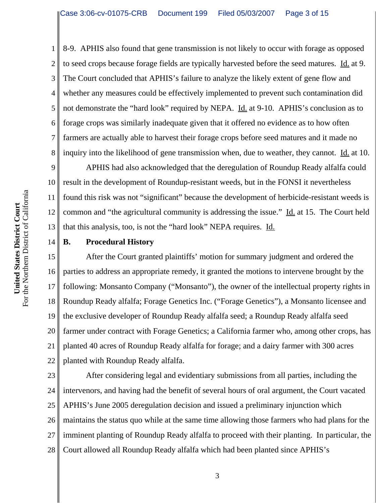8-9. APHIS also found that gene transmission is not likely to occur with forage as opposed to seed crops because forage fields are typically harvested before the seed matures. Id. at 9. The Court concluded that APHIS's failure to analyze the likely extent of gene flow and whether any measures could be effectively implemented to prevent such contamination did not demonstrate the "hard look" required by NEPA. Id. at 9-10. APHIS's conclusion as to forage crops was similarly inadequate given that it offered no evidence as to how often farmers are actually able to harvest their forage crops before seed matures and it made no inquiry into the likelihood of gene transmission when, due to weather, they cannot. Id. at 10.

9 10 11 12 13 APHIS had also acknowledged that the deregulation of Roundup Ready alfalfa could result in the development of Roundup-resistant weeds, but in the FONSI it nevertheless found this risk was not "significant" because the development of herbicide-resistant weeds is common and "the agricultural community is addressing the issue." Id. at 15. The Court held that this analysis, too, is not the "hard look" NEPA requires. Id.

14

1

2

3

4

5

6

7

8

### **B. Procedural History**

15 16 17 18 19 20 21 22 After the Court granted plaintiffs' motion for summary judgment and ordered the parties to address an appropriate remedy, it granted the motions to intervene brought by the following: Monsanto Company ("Monsanto"), the owner of the intellectual property rights in Roundup Ready alfalfa; Forage Genetics Inc. ("Forage Genetics"), a Monsanto licensee and the exclusive developer of Roundup Ready alfalfa seed; a Roundup Ready alfalfa seed farmer under contract with Forage Genetics; a California farmer who, among other crops, has planted 40 acres of Roundup Ready alfalfa for forage; and a dairy farmer with 300 acres planted with Roundup Ready alfalfa.

23 24 25 26 27 28 After considering legal and evidentiary submissions from all parties, including the intervenors, and having had the benefit of several hours of oral argument, the Court vacated APHIS's June 2005 deregulation decision and issued a preliminary injunction which maintains the status quo while at the same time allowing those farmers who had plans for the imminent planting of Roundup Ready alfalfa to proceed with their planting. In particular, the Court allowed all Roundup Ready alfalfa which had been planted since APHIS's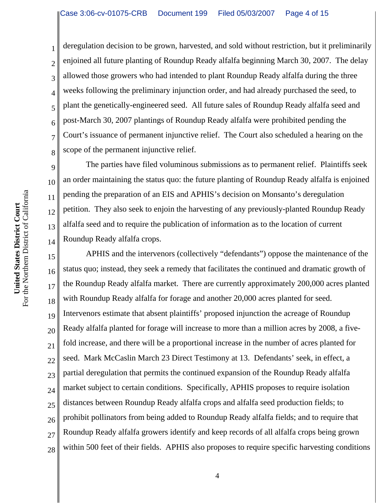deregulation decision to be grown, harvested, and sold without restriction, but it preliminarily enjoined all future planting of Roundup Ready alfalfa beginning March 30, 2007. The delay allowed those growers who had intended to plant Roundup Ready alfalfa during the three weeks following the preliminary injunction order, and had already purchased the seed, to plant the genetically-engineered seed. All future sales of Roundup Ready alfalfa seed and post-March 30, 2007 plantings of Roundup Ready alfalfa were prohibited pending the Court's issuance of permanent injunctive relief. The Court also scheduled a hearing on the scope of the permanent injunctive relief.

The parties have filed voluminous submissions as to permanent relief. Plaintiffs seek an order maintaining the status quo: the future planting of Roundup Ready alfalfa is enjoined pending the preparation of an EIS and APHIS's decision on Monsanto's deregulation petition. They also seek to enjoin the harvesting of any previously-planted Roundup Ready alfalfa seed and to require the publication of information as to the location of current Roundup Ready alfalfa crops.

15 16 17 18 19 20 21 22 23 24 25 26 27 28 APHIS and the intervenors (collectively "defendants") oppose the maintenance of the status quo; instead, they seek a remedy that facilitates the continued and dramatic growth of the Roundup Ready alfalfa market. There are currently approximately 200,000 acres planted with Roundup Ready alfalfa for forage and another 20,000 acres planted for seed. Intervenors estimate that absent plaintiffs' proposed injunction the acreage of Roundup Ready alfalfa planted for forage will increase to more than a million acres by 2008, a fivefold increase, and there will be a proportional increase in the number of acres planted for seed. Mark McCaslin March 23 Direct Testimony at 13. Defendants' seek, in effect, a partial deregulation that permits the continued expansion of the Roundup Ready alfalfa market subject to certain conditions. Specifically, APHIS proposes to require isolation distances between Roundup Ready alfalfa crops and alfalfa seed production fields; to prohibit pollinators from being added to Roundup Ready alfalfa fields; and to require that Roundup Ready alfalfa growers identify and keep records of all alfalfa crops being grown within 500 feet of their fields. APHIS also proposes to require specific harvesting conditions

1

2

3

4

5

6

7

8

9

10

11

12

13

14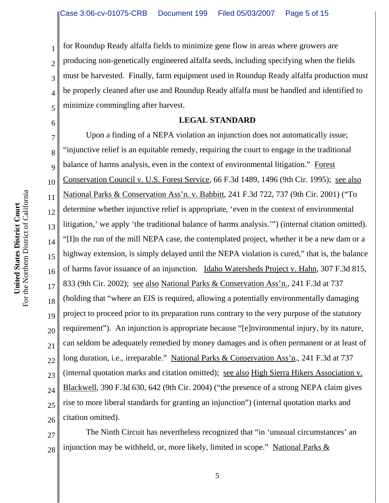1 2 3 4 5 for Roundup Ready alfalfa fields to minimize gene flow in areas where growers are producing non-genetically engineered alfalfa seeds, including specifying when the fields must be harvested. Finally, farm equipment used in Roundup Ready alfalfa production must be properly cleaned after use and Roundup Ready alfalfa must be handled and identified to minimize commingling after harvest.

#### **LEGAL STANDARD**

7 8 9 10 11 12 13 14 15 16 17 18 19 20 21 22 23 24 25 26 Upon a finding of a NEPA violation an injunction does not automatically issue; "injunctive relief is an equitable remedy, requiring the court to engage in the traditional balance of harms analysis, even in the context of environmental litigation." Forest Conservation Council v. U.S. Forest Service, 66 F.3d 1489, 1496 (9th Cir. 1995); see also National Parks & Conservation Ass'n. v. Babbitt, 241 F.3d 722, 737 (9th Cir. 2001) ("To determine whether injunctive relief is appropriate, 'even in the context of environmental litigation,' we apply 'the traditional balance of harms analysis.'") (internal citation omitted). "[I]n the run of the mill NEPA case, the contemplated project, whether it be a new dam or a highway extension, is simply delayed until the NEPA violation is cured," that is, the balance of harms favor issuance of an injunction. Idaho Watersheds Project v. Hahn, 307 F.3d 815, 833 (9th Cir. 2002); see also National Parks & Conservation Ass'n., 241 F.3d at 737 (holding that "where an EIS is required, allowing a potentially environmentally damaging project to proceed prior to its preparation runs contrary to the very purpose of the statutory requirement"). An injunction is appropriate because "[e]nvironmental injury, by its nature, can seldom be adequately remedied by money damages and is often permanent or at least of long duration, i.e., irreparable." National Parks & Conservation Ass'n., 241 F.3d at 737 (internal quotation marks and citation omitted); see also High Sierra Hikers Association v. Blackwell, 390 F.3d 630, 642 (9th Cir. 2004) ("the presence of a strong NEPA claim gives rise to more liberal standards for granting an injunction") (internal quotation marks and citation omitted).

27 28 The Ninth Circuit has nevertheless recognized that "in 'unusual circumstances' an injunction may be withheld, or, more likely, limited in scope." National Parks  $&$ 

6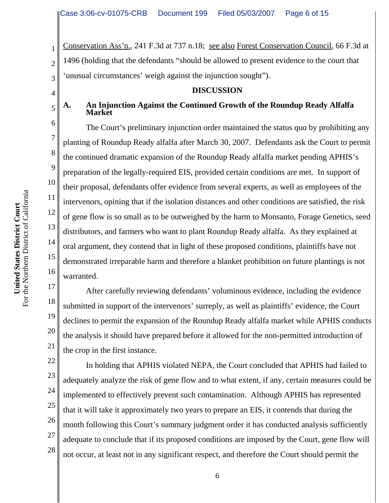Conservation Ass'n., 241 F.3d at 737 n.18; see also Forest Conservation Council, 66 F.3d at 1496 (holding that the defendants "should be allowed to present evidence to the court that 'unusual circumstances' weigh against the injunction sought").

#### **DISCUSSION**

### **A. An Injunction Against the Continued Growth of the Roundup Ready Alfalfa Market**

The Court's preliminary injunction order maintained the status quo by prohibiting any planting of Roundup Ready alfalfa after March 30, 2007. Defendants ask the Court to permit the continued dramatic expansion of the Roundup Ready alfalfa market pending APHIS's preparation of the legally-required EIS, provided certain conditions are met. In support of their proposal, defendants offer evidence from several experts, as well as employees of the intervenors, opining that if the isolation distances and other conditions are satisfied, the risk of gene flow is so small as to be outweighed by the harm to Monsanto, Forage Genetics, seed distributors, and farmers who want to plant Roundup Ready alfalfa. As they explained at oral argument, they contend that in light of these proposed conditions, plaintiffs have not demonstrated irreparable harm and therefore a blanket prohibition on future plantings is not warranted.

After carefully reviewing defendants' voluminous evidence, including the evidence submitted in support of the intervenors' surreply, as well as plaintiffs' evidence, the Court declines to permit the expansion of the Roundup Ready alfalfa market while APHIS conducts the analysis it should have prepared before it allowed for the non-permitted introduction of the crop in the first instance.

In holding that APHIS violated NEPA, the Court concluded that APHIS had failed to adequately analyze the risk of gene flow and to what extent, if any, certain measures could be implemented to effectively prevent such contamination. Although APHIS has represented that it will take it approximately two years to prepare an EIS, it contends that during the month following this Court's summary judgment order it has conducted analysis sufficiently adequate to conclude that if its proposed conditions are imposed by the Court, gene flow will not occur, at least not in any significant respect, and therefore the Court should permit the

1

2

3

4

5

6

7

8

9

10

11

12

13

14

15

16

17

18

19

20

21

22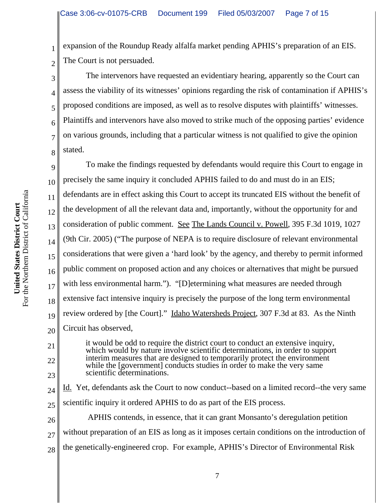2 expansion of the Roundup Ready alfalfa market pending APHIS's preparation of an EIS. The Court is not persuaded.

The intervenors have requested an evidentiary hearing, apparently so the Court can assess the viability of its witnesses' opinions regarding the risk of contamination if APHIS's proposed conditions are imposed, as well as to resolve disputes with plaintiffs' witnesses. Plaintiffs and intervenors have also moved to strike much of the opposing parties' evidence on various grounds, including that a particular witness is not qualified to give the opinion stated.

9 10 11 12 13 14 15 16 17 18 19 20 To make the findings requested by defendants would require this Court to engage in precisely the same inquiry it concluded APHIS failed to do and must do in an EIS; defendants are in effect asking this Court to accept its truncated EIS without the benefit of the development of all the relevant data and, importantly, without the opportunity for and consideration of public comment. See The Lands Council v. Powell, 395 F.3d 1019, 1027 (9th Cir. 2005) ("The purpose of NEPA is to require disclosure of relevant environmental considerations that were given a 'hard look' by the agency, and thereby to permit informed public comment on proposed action and any choices or alternatives that might be pursued with less environmental harm."). "[D]etermining what measures are needed through extensive fact intensive inquiry is precisely the purpose of the long term environmental review ordered by [the Court]." Idaho Watersheds Project, 307 F.3d at 83. As the Ninth Circuit has observed,

it would be odd to require the district court to conduct an extensive inquiry, which would by nature involve scientific determinations, in order to support interim measures that are designed to temporarily protect the environment while the [government] conducts studies in order to make the very same scientific determinations.

24 25 Id. Yet, defendants ask the Court to now conduct--based on a limited record--the very same scientific inquiry it ordered APHIS to do as part of the EIS process.

26 27 28 APHIS contends, in essence, that it can grant Monsanto's deregulation petition without preparation of an EIS as long as it imposes certain conditions on the introduction of the genetically-engineered crop. For example, APHIS's Director of Environmental Risk

1

3

4

5

6

7

8

21

22

23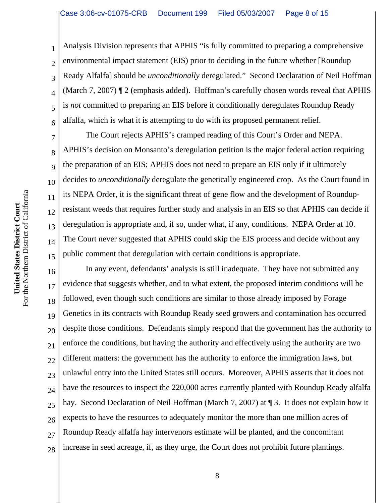Analysis Division represents that APHIS "is fully committed to preparing a comprehensive environmental impact statement (EIS) prior to deciding in the future whether [Roundup Ready Alfalfa] should be *unconditionally* deregulated." Second Declaration of Neil Hoffman (March 7, 2007) ¶ 2 (emphasis added). Hoffman's carefully chosen words reveal that APHIS is *not* committed to preparing an EIS before it conditionally deregulates Roundup Ready alfalfa, which is what it is attempting to do with its proposed permanent relief.

The Court rejects APHIS's cramped reading of this Court's Order and NEPA. APHIS's decision on Monsanto's deregulation petition is the major federal action requiring the preparation of an EIS; APHIS does not need to prepare an EIS only if it ultimately decides to *unconditionally* deregulate the genetically engineered crop. As the Court found in its NEPA Order, it is the significant threat of gene flow and the development of Roundupresistant weeds that requires further study and analysis in an EIS so that APHIS can decide if deregulation is appropriate and, if so, under what, if any, conditions. NEPA Order at 10. The Court never suggested that APHIS could skip the EIS process and decide without any public comment that deregulation with certain conditions is appropriate.

16 17 18 19 20 21 22 23 24 25 26 27 28 In any event, defendants' analysis is still inadequate. They have not submitted any evidence that suggests whether, and to what extent, the proposed interim conditions will be followed, even though such conditions are similar to those already imposed by Forage Genetics in its contracts with Roundup Ready seed growers and contamination has occurred despite those conditions. Defendants simply respond that the government has the authority to enforce the conditions, but having the authority and effectively using the authority are two different matters: the government has the authority to enforce the immigration laws, but unlawful entry into the United States still occurs. Moreover, APHIS asserts that it does not have the resources to inspect the 220,000 acres currently planted with Roundup Ready alfalfa hay. Second Declaration of Neil Hoffman (March 7, 2007) at ¶ 3. It does not explain how it expects to have the resources to adequately monitor the more than one million acres of Roundup Ready alfalfa hay intervenors estimate will be planted, and the concomitant increase in seed acreage, if, as they urge, the Court does not prohibit future plantings.

1

2

3

4

5

6

7

8

9

10

11

12

13

14

15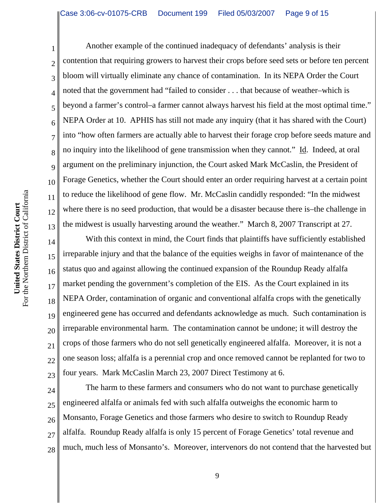1 2 3 4 5 6 7 8 9 10 11 12 13 Another example of the continued inadequacy of defendants' analysis is their contention that requiring growers to harvest their crops before seed sets or before ten percent bloom will virtually eliminate any chance of contamination. In its NEPA Order the Court noted that the government had "failed to consider . . . that because of weather–which is beyond a farmer's control–a farmer cannot always harvest his field at the most optimal time." NEPA Order at 10. APHIS has still not made any inquiry (that it has shared with the Court) into "how often farmers are actually able to harvest their forage crop before seeds mature and no inquiry into the likelihood of gene transmission when they cannot." Id. Indeed, at oral argument on the preliminary injunction, the Court asked Mark McCaslin, the President of Forage Genetics, whether the Court should enter an order requiring harvest at a certain point to reduce the likelihood of gene flow. Mr. McCaslin candidly responded: "In the midwest where there is no seed production, that would be a disaster because there is–the challenge in the midwest is usually harvesting around the weather." March 8, 2007 Transcript at 27.

14 15 16 17 18 19 20 21 22 23 With this context in mind, the Court finds that plaintiffs have sufficiently established irreparable injury and that the balance of the equities weighs in favor of maintenance of the status quo and against allowing the continued expansion of the Roundup Ready alfalfa market pending the government's completion of the EIS. As the Court explained in its NEPA Order, contamination of organic and conventional alfalfa crops with the genetically engineered gene has occurred and defendants acknowledge as much. Such contamination is irreparable environmental harm. The contamination cannot be undone; it will destroy the crops of those farmers who do not sell genetically engineered alfalfa. Moreover, it is not a one season loss; alfalfa is a perennial crop and once removed cannot be replanted for two to four years. Mark McCaslin March 23, 2007 Direct Testimony at 6.

24 25 26 27 28 The harm to these farmers and consumers who do not want to purchase genetically engineered alfalfa or animals fed with such alfalfa outweighs the economic harm to Monsanto, Forage Genetics and those farmers who desire to switch to Roundup Ready alfalfa. Roundup Ready alfalfa is only 15 percent of Forage Genetics' total revenue and much, much less of Monsanto's. Moreover, intervenors do not contend that the harvested but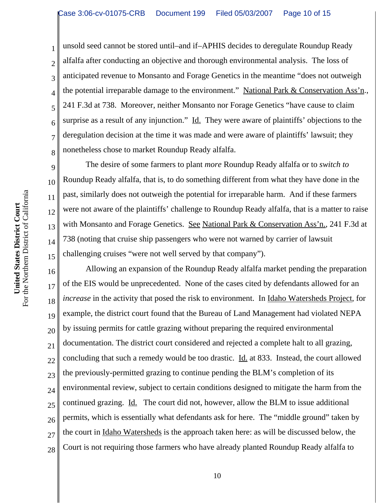unsold seed cannot be stored until–and if–APHIS decides to deregulate Roundup Ready alfalfa after conducting an objective and thorough environmental analysis. The loss of anticipated revenue to Monsanto and Forage Genetics in the meantime "does not outweigh the potential irreparable damage to the environment." National Park & Conservation Ass'n., 241 F.3d at 738. Moreover, neither Monsanto nor Forage Genetics "have cause to claim surprise as a result of any injunction." Id. They were aware of plaintiffs' objections to the deregulation decision at the time it was made and were aware of plaintiffs' lawsuit; they nonetheless chose to market Roundup Ready alfalfa.

The desire of some farmers to plant *more* Roundup Ready alfalfa or to *switch to* Roundup Ready alfalfa, that is, to do something different from what they have done in the past, similarly does not outweigh the potential for irreparable harm. And if these farmers were not aware of the plaintiffs' challenge to Roundup Ready alfalfa, that is a matter to raise with Monsanto and Forage Genetics. See National Park & Conservation Ass'n., 241 F.3d at 738 (noting that cruise ship passengers who were not warned by carrier of lawsuit challenging cruises "were not well served by that company").

16 17 18 19 20 21 22 23 24 25 26 27 28 Allowing an expansion of the Roundup Ready alfalfa market pending the preparation of the EIS would be unprecedented. None of the cases cited by defendants allowed for an *increase* in the activity that posed the risk to environment. In Idaho Watersheds Project, for example, the district court found that the Bureau of Land Management had violated NEPA by issuing permits for cattle grazing without preparing the required environmental documentation. The district court considered and rejected a complete halt to all grazing, concluding that such a remedy would be too drastic. Id. at 833. Instead, the court allowed the previously-permitted grazing to continue pending the BLM's completion of its environmental review, subject to certain conditions designed to mitigate the harm from the continued grazing. Id. The court did not, however, allow the BLM to issue additional permits, which is essentially what defendants ask for here. The "middle ground" taken by the court in Idaho Watersheds is the approach taken here: as will be discussed below, the Court is not requiring those farmers who have already planted Roundup Ready alfalfa to

1

2

3

4

5

6

7

8

9

10

11

12

13

14

15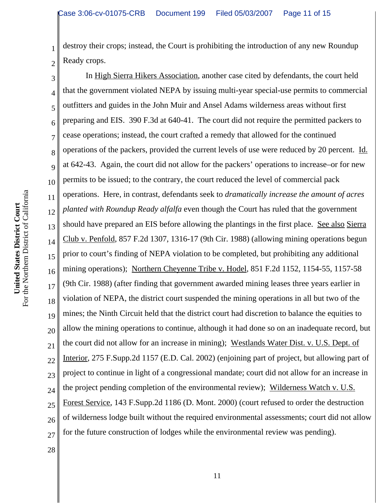2 destroy their crops; instead, the Court is prohibiting the introduction of any new Roundup Ready crops.

3 4 5 6 7 8 9 10 11 12 13 14 15 16 17 18 19 20 21 22 23 24 25 26 27 In High Sierra Hikers Association, another case cited by defendants, the court held that the government violated NEPA by issuing multi-year special-use permits to commercial outfitters and guides in the John Muir and Ansel Adams wilderness areas without first preparing and EIS. 390 F.3d at 640-41. The court did not require the permitted packers to cease operations; instead, the court crafted a remedy that allowed for the continued operations of the packers, provided the current levels of use were reduced by 20 percent. Id. at 642-43. Again, the court did not allow for the packers' operations to increase–or for new permits to be issued; to the contrary, the court reduced the level of commercial pack operations. Here, in contrast, defendants seek to *dramatically increase the amount of acres planted with Roundup Ready alfalfa* even though the Court has ruled that the government should have prepared an EIS before allowing the plantings in the first place. See also Sierra Club v. Penfold, 857 F.2d 1307, 1316-17 (9th Cir. 1988) (allowing mining operations begun prior to court's finding of NEPA violation to be completed, but prohibiting any additional mining operations); Northern Cheyenne Tribe v. Hodel, 851 F.2d 1152, 1154-55, 1157-58 (9th Cir. 1988) (after finding that government awarded mining leases three years earlier in violation of NEPA, the district court suspended the mining operations in all but two of the mines; the Ninth Circuit held that the district court had discretion to balance the equities to allow the mining operations to continue, although it had done so on an inadequate record, but the court did not allow for an increase in mining); Westlands Water Dist. v. U.S. Dept. of Interior, 275 F.Supp.2d 1157 (E.D. Cal. 2002) (enjoining part of project, but allowing part of project to continue in light of a congressional mandate; court did not allow for an increase in the project pending completion of the environmental review); Wilderness Watch v. U.S. Forest Service, 143 F.Supp.2d 1186 (D. Mont. 2000) (court refused to order the destruction of wilderness lodge built without the required environmental assessments; court did not allow for the future construction of lodges while the environmental review was pending).

28

1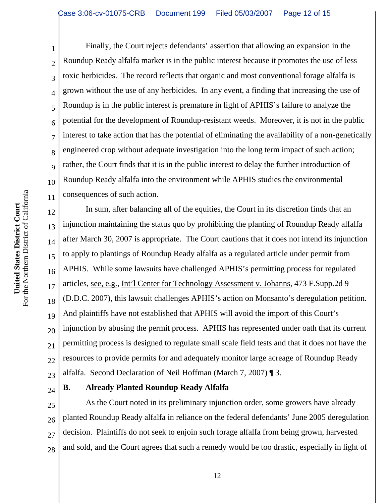Finally, the Court rejects defendants' assertion that allowing an expansion in the Roundup Ready alfalfa market is in the public interest because it promotes the use of less toxic herbicides. The record reflects that organic and most conventional forage alfalfa is grown without the use of any herbicides. In any event, a finding that increasing the use of Roundup is in the public interest is premature in light of APHIS's failure to analyze the potential for the development of Roundup-resistant weeds. Moreover, it is not in the public interest to take action that has the potential of eliminating the availability of a non-genetically engineered crop without adequate investigation into the long term impact of such action; rather, the Court finds that it is in the public interest to delay the further introduction of Roundup Ready alfalfa into the environment while APHIS studies the environmental consequences of such action.

12 13 14 15 16 17 18 19 20 21 22 23 In sum, after balancing all of the equities, the Court in its discretion finds that an injunction maintaining the status quo by prohibiting the planting of Roundup Ready alfalfa after March 30, 2007 is appropriate. The Court cautions that it does not intend its injunction to apply to plantings of Roundup Ready alfalfa as a regulated article under permit from APHIS. While some lawsuits have challenged APHIS's permitting process for regulated articles, see, e.g., Int'l Center for Technology Assessment v. Johanns, 473 F.Supp.2d 9 (D.D.C. 2007), this lawsuit challenges APHIS's action on Monsanto's deregulation petition. And plaintiffs have not established that APHIS will avoid the import of this Court's injunction by abusing the permit process. APHIS has represented under oath that its current permitting process is designed to regulate small scale field tests and that it does not have the resources to provide permits for and adequately monitor large acreage of Roundup Ready alfalfa. Second Declaration of Neil Hoffman (March 7, 2007) ¶ 3.

24

1

2

3

4

5

6

7

8

9

10

11

## **B. Already Planted Roundup Ready Alfalfa**

25 26 27 28 As the Court noted in its preliminary injunction order, some growers have already planted Roundup Ready alfalfa in reliance on the federal defendants' June 2005 deregulation decision. Plaintiffs do not seek to enjoin such forage alfalfa from being grown, harvested and sold, and the Court agrees that such a remedy would be too drastic, especially in light of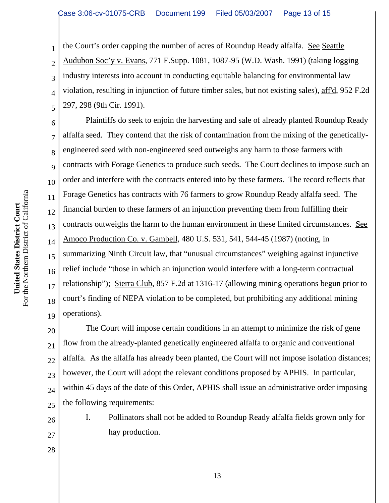the Court's order capping the number of acres of Roundup Ready alfalfa. See Seattle Audubon Soc'y v. Evans, 771 F.Supp. 1081, 1087-95 (W.D. Wash. 1991) (taking logging industry interests into account in conducting equitable balancing for environmental law violation, resulting in injunction of future timber sales, but not existing sales), aff'd, 952 F.2d 297, 298 (9th Cir. 1991).

6 10 12 13 16 18 19 Plaintiffs do seek to enjoin the harvesting and sale of already planted Roundup Ready alfalfa seed. They contend that the risk of contamination from the mixing of the geneticallyengineered seed with non-engineered seed outweighs any harm to those farmers with contracts with Forage Genetics to produce such seeds. The Court declines to impose such an order and interfere with the contracts entered into by these farmers. The record reflects that Forage Genetics has contracts with 76 farmers to grow Roundup Ready alfalfa seed. The financial burden to these farmers of an injunction preventing them from fulfilling their contracts outweighs the harm to the human environment in these limited circumstances. See Amoco Production Co. v. Gambell, 480 U.S. 531, 541, 544-45 (1987) (noting, in summarizing Ninth Circuit law, that "unusual circumstances" weighing against injunctive relief include "those in which an injunction would interfere with a long-term contractual relationship"); Sierra Club, 857 F.2d at 1316-17 (allowing mining operations begun prior to court's finding of NEPA violation to be completed, but prohibiting any additional mining operations).

20 21 22 23 24 25 The Court will impose certain conditions in an attempt to minimize the risk of gene flow from the already-planted genetically engineered alfalfa to organic and conventional alfalfa. As the alfalfa has already been planted, the Court will not impose isolation distances; however, the Court will adopt the relevant conditions proposed by APHIS. In particular, within 45 days of the date of this Order, APHIS shall issue an administrative order imposing the following requirements:

26

27

28

I. Pollinators shall not be added to Roundup Ready alfalfa fields grown only for hay production.

1

2

3

4

5

7

8

9

11

14

15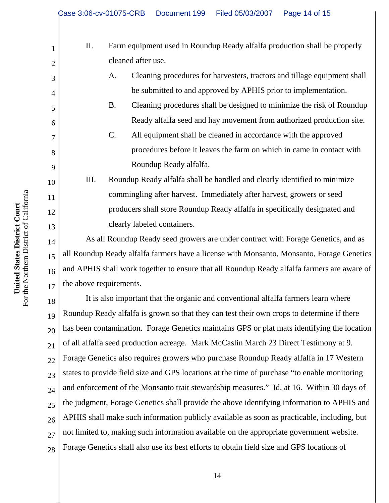- II. Farm equipment used in Roundup Ready alfalfa production shall be properly cleaned after use.
	- A. Cleaning procedures for harvesters, tractors and tillage equipment shall be submitted to and approved by APHIS prior to implementation.
	- B. Cleaning procedures shall be designed to minimize the risk of Roundup Ready alfalfa seed and hay movement from authorized production site.
	- C. All equipment shall be cleaned in accordance with the approved procedures before it leaves the farm on which in came in contact with Roundup Ready alfalfa.

III. Roundup Ready alfalfa shall be handled and clearly identified to minimize commingling after harvest. Immediately after harvest, growers or seed producers shall store Roundup Ready alfalfa in specifically designated and clearly labeled containers.

As all Roundup Ready seed growers are under contract with Forage Genetics, and as all Roundup Ready alfalfa farmers have a license with Monsanto, Monsanto, Forage Genetics and APHIS shall work together to ensure that all Roundup Ready alfalfa farmers are aware of the above requirements.

18 19 20 21 22 23 24 25 26 27 28 It is also important that the organic and conventional alfalfa farmers learn where Roundup Ready alfalfa is grown so that they can test their own crops to determine if there has been contamination. Forage Genetics maintains GPS or plat mats identifying the location of all alfalfa seed production acreage. Mark McCaslin March 23 Direct Testimony at 9. Forage Genetics also requires growers who purchase Roundup Ready alfalfa in 17 Western states to provide field size and GPS locations at the time of purchase "to enable monitoring and enforcement of the Monsanto trait stewardship measures." Id. at 16. Within 30 days of the judgment, Forage Genetics shall provide the above identifying information to APHIS and APHIS shall make such information publicly available as soon as practicable, including, but not limited to, making such information available on the appropriate government website. Forage Genetics shall also use its best efforts to obtain field size and GPS locations of

1

2

3

4

5

6

7

8

9

10

11

12

13

14

15

16